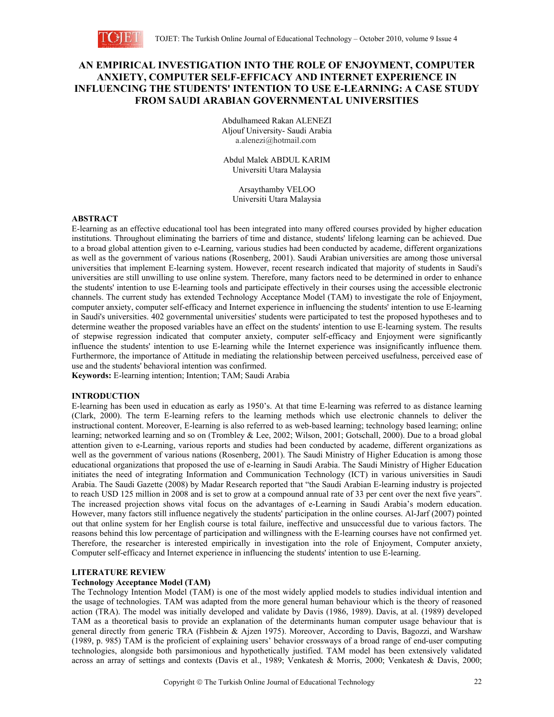

# **AN EMPIRICAL INVESTIGATION INTO THE ROLE OF ENJOYMENT, COMPUTER ANXIETY, COMPUTER SELF-EFFICACY AND INTERNET EXPERIENCE IN INFLUENCING THE STUDENTS' INTENTION TO USE E-LEARNING: A CASE STUDY FROM SAUDI ARABIAN GOVERNMENTAL UNIVERSITIES**

Abdulhameed Rakan ALENEZI Aljouf University- Saudi Arabia a.alenezi@hotmail.com

Abdul Malek ABDUL KARIM Universiti Utara Malaysia

Arsaythamby VELOO Universiti Utara Malaysia

### **ABSTRACT**

E-learning as an effective educational tool has been integrated into many offered courses provided by higher education institutions. Throughout eliminating the barriers of time and distance, students' lifelong learning can be achieved. Due to a broad global attention given to e-Learning, various studies had been conducted by academe, different organizations as well as the government of various nations (Rosenberg, 2001). Saudi Arabian universities are among those universal universities that implement E-learning system. However, recent research indicated that majority of students in Saudi's universities are still unwilling to use online system. Therefore, many factors need to be determined in order to enhance the students' intention to use E-learning tools and participate effectively in their courses using the accessible electronic channels. The current study has extended Technology Acceptance Model (TAM) to investigate the role of Enjoyment, computer anxiety, computer self-efficacy and Internet experience in influencing the students' intention to use E-learning in Saudi's universities. 402 governmental universities' students were participated to test the proposed hypotheses and to determine weather the proposed variables have an effect on the students' intention to use E-learning system. The results of stepwise regression indicated that computer anxiety, computer self-efficacy and Enjoyment were significantly influence the students' intention to use E-learning while the Internet experience was insignificantly influence them. Furthermore, the importance of Attitude in mediating the relationship between perceived usefulness, perceived ease of use and the students' behavioral intention was confirmed.

**Keywords:** E-learning intention; Intention; TAM; Saudi Arabia

## **INTRODUCTION**

E-learning has been used in education as early as 1950's. At that time E-learning was referred to as distance learning (Clark, 2000). The term E-learning refers to the learning methods which use electronic channels to deliver the instructional content. Moreover, E-learning is also referred to as web-based learning; technology based learning; online learning; networked learning and so on (Trombley & Lee, 2002; Wilson, 2001; Gotschall, 2000). Due to a broad global attention given to e-Learning, various reports and studies had been conducted by academe, different organizations as well as the government of various nations (Rosenberg, 2001). The Saudi Ministry of Higher Education is among those educational organizations that proposed the use of e-learning in Saudi Arabia. The Saudi Ministry of Higher Education initiates the need of integrating Information and Communication Technology (ICT) in various universities in Saudi Arabia. The Saudi Gazette (2008) by Madar Research reported that "the Saudi Arabian E-learning industry is projected to reach USD 125 million in 2008 and is set to grow at a compound annual rate of 33 per cent over the next five years". The increased projection shows vital focus on the advantages of e-Learning in Saudi Arabia's modern education. However, many factors still influence negatively the students' participation in the online courses. Al-Jarf (2007) pointed out that online system for her English course is total failure, ineffective and unsuccessful due to various factors. The reasons behind this low percentage of participation and willingness with the E-learning courses have not confirmed yet. Therefore, the researcher is interested empirically in investigation into the role of Enjoyment, Computer anxiety, Computer self-efficacy and Internet experience in influencing the students' intention to use E-learning.

## **LITERATURE REVIEW**

### **Technology Acceptance Model (TAM)**

The Technology Intention Model (TAM) is one of the most widely applied models to studies individual intention and the usage of technologies. TAM was adapted from the more general human behaviour which is the theory of reasoned action (TRA). The model was initially developed and validate by Davis (1986, 1989). Davis, at al. (1989) developed TAM as a theoretical basis to provide an explanation of the determinants human computer usage behaviour that is general directly from generic TRA (Fishbein & Ajzen 1975). Moreover, According to Davis, Bagozzi, and Warshaw (1989, p. 985) TAM is the proficient of explaining users' behavior crossways of a broad range of end-user computing technologies, alongside both parsimonious and hypothetically justified. TAM model has been extensively validated across an array of settings and contexts (Davis et al., 1989; Venkatesh & Morris, 2000; Venkatesh & Davis, 2000;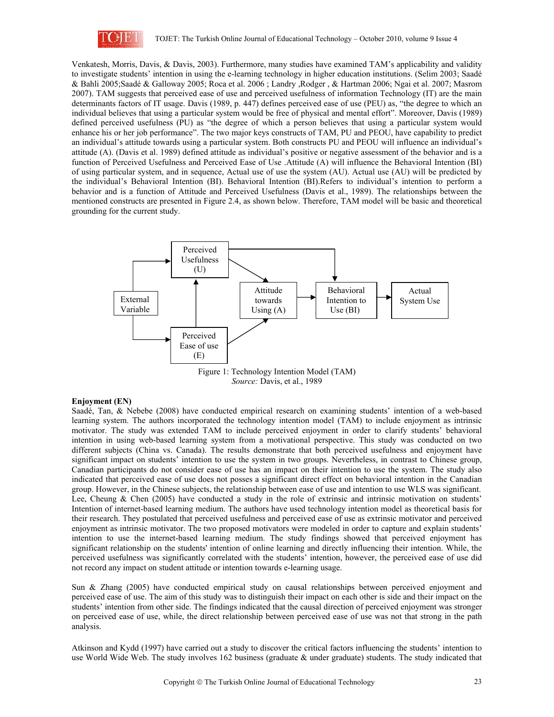

Venkatesh, Morris, Davis, & Davis, 2003). Furthermore, many studies have examined TAM's applicability and validity to investigate students' intention in using the e-learning technology in higher education institutions. (Selim 2003; Saadé & Bahli 2005;Saadé & Galloway 2005; Roca et al. 2006 ; Landry ,Rodger , & Hartman 2006; Ngai et al. 2007; Masrom 2007). TAM suggests that perceived ease of use and perceived usefulness of information Technology (IT) are the main determinants factors of IT usage. Davis (1989, p. 447) defines perceived ease of use (PEU) as, "the degree to which an individual believes that using a particular system would be free of physical and mental effort". Moreover, Davis (1989) defined perceived usefulness (PU) as "the degree of which a person believes that using a particular system would enhance his or her job performance". The two major keys constructs of TAM, PU and PEOU, have capability to predict an individual's attitude towards using a particular system. Both constructs PU and PEOU will influence an individual's attitude (A). (Davis et al. 1989) defined attitude as individual's positive or negative assessment of the behavior and is a function of Perceived Usefulness and Perceived Ease of Use .Attitude (A) will influence the Behavioral Intention (BI) of using particular system, and in sequence, Actual use of use the system (AU). Actual use (AU) will be predicted by the individual's Behavioral Intention (BI). Behavioral Intention (BI).Refers to individual's intention to perform a behavior and is a function of Attitude and Perceived Usefulness (Davis et al., 1989). The relationships between the mentioned constructs are presented in Figure 2.4, as shown below. Therefore, TAM model will be basic and theoretical grounding for the current study.



*Source:* Davis, et al., 1989

### **Enjoyment (EN)**

Saadé, Tan, & Nebebe (2008) have conducted empirical research on examining students' intention of a web-based learning system. The authors incorporated the technology intention model (TAM) to include enjoyment as intrinsic motivator. The study was extended TAM to include perceived enjoyment in order to clarify students' behavioral intention in using web-based learning system from a motivational perspective. This study was conducted on two different subjects (China vs. Canada). The results demonstrate that both perceived usefulness and enjoyment have significant impact on students' intention to use the system in two groups. Nevertheless, in contrast to Chinese group, Canadian participants do not consider ease of use has an impact on their intention to use the system. The study also indicated that perceived ease of use does not posses a significant direct effect on behavioral intention in the Canadian group. However, in the Chinese subjects, the relationship between ease of use and intention to use WLS was significant. Lee, Cheung & Chen (2005) have conducted a study in the role of extrinsic and intrinsic motivation on students' Intention of internet-based learning medium. The authors have used technology intention model as theoretical basis for their research. They postulated that perceived usefulness and perceived ease of use as extrinsic motivator and perceived enjoyment as intrinsic motivator. The two proposed motivators were modeled in order to capture and explain students' intention to use the internet-based learning medium. The study findings showed that perceived enjoyment has significant relationship on the students' intention of online learning and directly influencing their intention. While, the perceived usefulness was significantly correlated with the students' intention, however, the perceived ease of use did not record any impact on student attitude or intention towards e-learning usage.

Sun & Zhang (2005) have conducted empirical study on causal relationships between perceived enjoyment and perceived ease of use. The aim of this study was to distinguish their impact on each other is side and their impact on the students' intention from other side. The findings indicated that the causal direction of perceived enjoyment was stronger on perceived ease of use, while, the direct relationship between perceived ease of use was not that strong in the path analysis.

Atkinson and Kydd (1997) have carried out a study to discover the critical factors influencing the students' intention to use World Wide Web. The study involves 162 business (graduate & under graduate) students. The study indicated that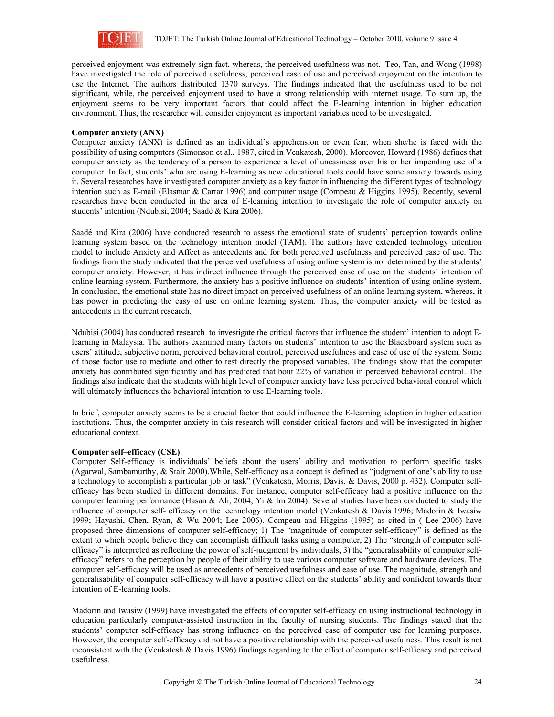

perceived enjoyment was extremely sign fact, whereas, the perceived usefulness was not. Teo, Tan, and Wong (1998) have investigated the role of perceived usefulness, perceived ease of use and perceived enjoyment on the intention to use the Internet. The authors distributed 1370 surveys. The findings indicated that the usefulness used to be not significant, while, the perceived enjoyment used to have a strong relationship with internet usage. To sum up, the enjoyment seems to be very important factors that could affect the E-learning intention in higher education environment. Thus, the researcher will consider enjoyment as important variables need to be investigated.

### **Computer anxiety (ANX)**

Computer anxiety (ANX) is defined as an individual's apprehension or even fear, when she/he is faced with the possibility of using computers (Simonson et al., 1987, cited in Venkatesh, 2000). Moreover, Howard (1986) defines that computer anxiety as the tendency of a person to experience a level of uneasiness over his or her impending use of a computer. In fact, students' who are using E-learning as new educational tools could have some anxiety towards using it. Several researches have investigated computer anxiety as a key factor in influencing the different types of technology intention such as E-mail (Elasmar & Cartar 1996) and computer usage (Compeau & Higgins 1995). Recently, several researches have been conducted in the area of E-learning intention to investigate the role of computer anxiety on students' intention (Ndubisi, 2004; Saadé & Kira 2006).

Saadé and Kira (2006) have conducted research to assess the emotional state of students' perception towards online learning system based on the technology intention model (TAM). The authors have extended technology intention model to include Anxiety and Affect as antecedents and for both perceived usefulness and perceived ease of use. The findings from the study indicated that the perceived usefulness of using online system is not determined by the students' computer anxiety. However, it has indirect influence through the perceived ease of use on the students' intention of online learning system. Furthermore, the anxiety has a positive influence on students' intention of using online system. In conclusion, the emotional state has no direct impact on perceived usefulness of an online learning system, whereas, it has power in predicting the easy of use on online learning system. Thus, the computer anxiety will be tested as antecedents in the current research.

Ndubisi (2004) has conducted research to investigate the critical factors that influence the student' intention to adopt Elearning in Malaysia. The authors examined many factors on students' intention to use the Blackboard system such as users' attitude, subjective norm, perceived behavioral control, perceived usefulness and ease of use of the system. Some of those factor use to mediate and other to test directly the proposed variables. The findings show that the computer anxiety has contributed significantly and has predicted that bout 22% of variation in perceived behavioral control. The findings also indicate that the students with high level of computer anxiety have less perceived behavioral control which will ultimately influences the behavioral intention to use E-learning tools.

In brief, computer anxiety seems to be a crucial factor that could influence the E-learning adoption in higher education institutions. Thus, the computer anxiety in this research will consider critical factors and will be investigated in higher educational context.

### **Computer self–efficacy (CSE)**

Computer Self-efficacy is individuals' beliefs about the users' ability and motivation to perform specific tasks (Agarwal, Sambamurthy, & Stair 2000).While, Self-efficacy as a concept is defined as "judgment of one's ability to use a technology to accomplish a particular job or task" (Venkatesh, Morris, Davis, & Davis, 2000 p. 432). Computer selfefficacy has been studied in different domains. For instance, computer self-efficacy had a positive influence on the computer learning performance (Hasan & Ali, 2004; Yi & Im 2004). Several studies have been conducted to study the influence of computer self- efficacy on the technology intention model (Venkatesh & Davis 1996; Madorin & Iwasiw 1999; Hayashi, Chen, Ryan, & Wu 2004; Lee 2006). Compeau and Higgins (1995) as cited in ( Lee 2006) have proposed three dimensions of computer self-efficacy; 1) The "magnitude of computer self-efficacy" is defined as the extent to which people believe they can accomplish difficult tasks using a computer, 2) The "strength of computer selfefficacy" is interpreted as reflecting the power of self-judgment by individuals, 3) the "generalisability of computer selfefficacy" refers to the perception by people of their ability to use various computer software and hardware devices. The computer self-efficacy will be used as antecedents of perceived usefulness and ease of use. The magnitude, strength and generalisability of computer self-efficacy will have a positive effect on the students' ability and confident towards their intention of E-learning tools.

Madorin and Iwasiw (1999) have investigated the effects of computer self-efficacy on using instructional technology in education particularly computer-assisted instruction in the faculty of nursing students. The findings stated that the students' computer self-efficacy has strong influence on the perceived ease of computer use for learning purposes. However, the computer self-efficacy did not have a positive relationship with the perceived usefulness. This result is not inconsistent with the (Venkatesh & Davis 1996) findings regarding to the effect of computer self-efficacy and perceived usefulness.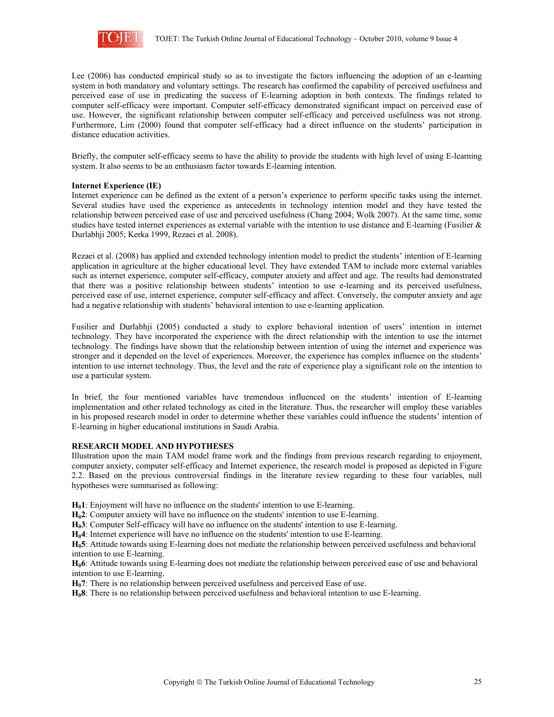

Lee (2006) has conducted empirical study so as to investigate the factors influencing the adoption of an e-learning system in both mandatory and voluntary settings. The research has confirmed the capability of perceived usefulness and perceived ease of use in predicating the success of E-learning adoption in both contexts. The findings related to computer self-efficacy were important. Computer self-efficacy demonstrated significant impact on perceived ease of use. However, the significant relationship between computer self-efficacy and perceived usefulness was not strong. Furthermore, Lim (2000) found that computer self-efficacy had a direct influence on the students' participation in distance education activities.

Briefly, the computer self-efficacy seems to have the ability to provide the students with high level of using E-learning system. It also seems to be an enthusiasm factor towards E-learning intention.

### **Internet Experience (IE)**

Internet experience can be defined as the extent of a person's experience to perform specific tasks using the internet. Several studies have used the experience as antecedents in technology intention model and they have tested the relationship between perceived ease of use and perceived usefulness (Chang 2004; Wolk 2007). At the same time, some studies have tested internet experiences as external variable with the intention to use distance and E-learning (Fusilier  $\&$ Durlabhji 2005; Kerka 1999, Rezaei et al. 2008).

Rezaei et al. (2008) has applied and extended technology intention model to predict the students' intention of E-learning application in agriculture at the higher educational level. They have extended TAM to include more external variables such as internet experience, computer self-efficacy, computer anxiety and affect and age. The results had demonstrated that there was a positive relationship between students' intention to use e-learning and its perceived usefulness, perceived ease of use, internet experience, computer self-efficacy and affect. Conversely, the computer anxiety and age had a negative relationship with students' behavioral intention to use e-learning application.

Fusilier and Durlabhji (2005) conducted a study to explore behavioral intention of users' intention in internet technology. They have incorporated the experience with the direct relationship with the intention to use the internet technology. The findings have shown that the relationship between intention of using the internet and experience was stronger and it depended on the level of experiences. Moreover, the experience has complex influence on the students' intention to use internet technology. Thus, the level and the rate of experience play a significant role on the intention to use a particular system.

In brief, the four mentioned variables have tremendous influenced on the students' intention of E-learning implementation and other related technology as cited in the literature. Thus, the researcher will employ these variables in his proposed research model in order to determine whether these variables could influence the students' intention of E-learning in higher educational institutions in Saudi Arabia.

### **RESEARCH MODEL AND HYPOTHESES**

Illustration upon the main TAM model frame work and the findings from previous research regarding to enjoyment, computer anxiety, computer self-efficacy and Internet experience, the research model is proposed as depicted in Figure 2.2. Based on the previous controversial findings in the literature review regarding to these four variables, null hypotheses were summarised as following:

**H01**: Enjoyment will have no influence on the students' intention to use E-learning.

**H02**: Computer anxiety will have no influence on the students' intention to use E-learning.

**H03**: Computer Self-efficacy will have no influence on the students' intention to use E-learning.

**H04**: Internet experience will have no influence on the students' intention to use E-learning.

**H05**: Attitude towards using E-learning does not mediate the relationship between perceived usefulness and behavioral intention to use E-learning.

**H06**: Attitude towards using E-learning does not mediate the relationship between perceived ease of use and behavioral intention to use E-learning.

**H<sub>0</sub>7**: There is no relationship between perceived usefulness and perceived Ease of use.

**H08**: There is no relationship between perceived usefulness and behavioral intention to use E-learning.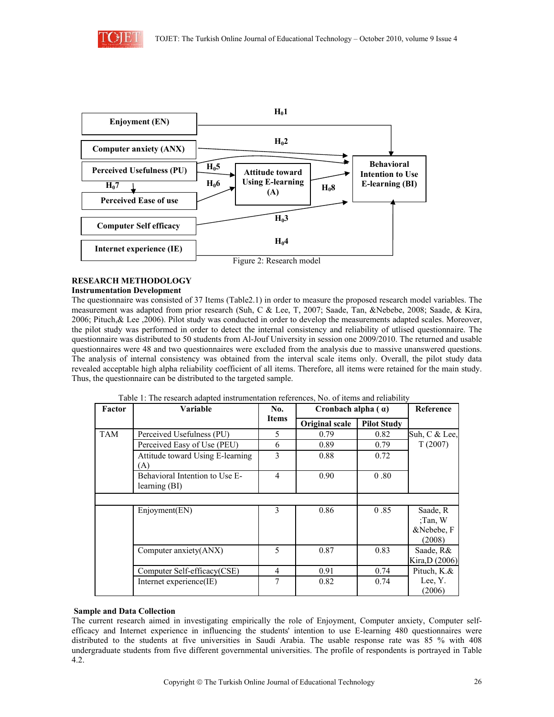



# **RESEARCH METHODOLOGY**

### **Instrumentation Development**

The questionnaire was consisted of 37 Items (Table2.1) in order to measure the proposed research model variables. The measurement was adapted from prior research (Suh, C & Lee, T, 2007; Saade, Tan, &Nebebe, 2008; Saade, & Kira, 2006; Pituch,& Lee ,2006). Pilot study was conducted in order to develop the measurements adapted scales. Moreover, the pilot study was performed in order to detect the internal consistency and reliability of utlised questionnaire. The questionnaire was distributed to 50 students from Al-Jouf University in session one 2009/2010. The returned and usable questionnaires were 48 and two questionnaires were excluded from the analysis due to massive unanswered questions. The analysis of internal consistency was obtained from the interval scale items only. Overall, the pilot study data revealed acceptable high alpha reliability coefficient of all items. Therefore, all items were retained for the main study. Thus, the questionnaire can be distributed to the targeted sample.

| Factor | Variable                                        | No.          | Cronbach alpha $(a)$ |                    | Reference                                     |
|--------|-------------------------------------------------|--------------|----------------------|--------------------|-----------------------------------------------|
|        |                                                 | <b>Items</b> | Original scale       | <b>Pilot Study</b> |                                               |
| TAM    | Perceived Usefulness (PU)                       | 5            | 0.79                 | 0.82               | Suh, C & Lee,                                 |
|        | Perceived Easy of Use (PEU)                     | 6            | 0.89                 | 0.79               | T(2007)                                       |
|        | Attitude toward Using E-learning<br>(A)         | 3            | 0.88                 | 0.72               |                                               |
|        | Behavioral Intention to Use E-<br>learning (BI) | 4            | 0.90                 | 0.80               |                                               |
|        |                                                 |              |                      |                    |                                               |
|        | Enjoyment(EN)                                   | 3            | 0.86                 | 0.85               | Saade, R<br>;Tan, $W$<br>&Nebebe, F<br>(2008) |
|        | Computer anxiety(ANX)                           | 5            | 0.87                 | 0.83               | Saade, R&<br>Kira, D (2006)                   |
|        | Computer Self-efficacy(CSE)                     | 4            | 0.91                 | 0.74               | Pituch, K.&                                   |
|        | Internet experience(IE)                         | 7            | 0.82                 | 0.74               | Lee, Y.<br>(2006)                             |

Table 1: The research adapted instrumentation references, No. of items and reliability

# **Sample and Data Collection**

The current research aimed in investigating empirically the role of Enjoyment, Computer anxiety, Computer selfefficacy and Internet experience in influencing the students' intention to use E-learning 480 questionnaires were distributed to the students at five universities in Saudi Arabia. The usable response rate was 85 % with 408 undergraduate students from five different governmental universities. The profile of respondents is portrayed in Table 4.2.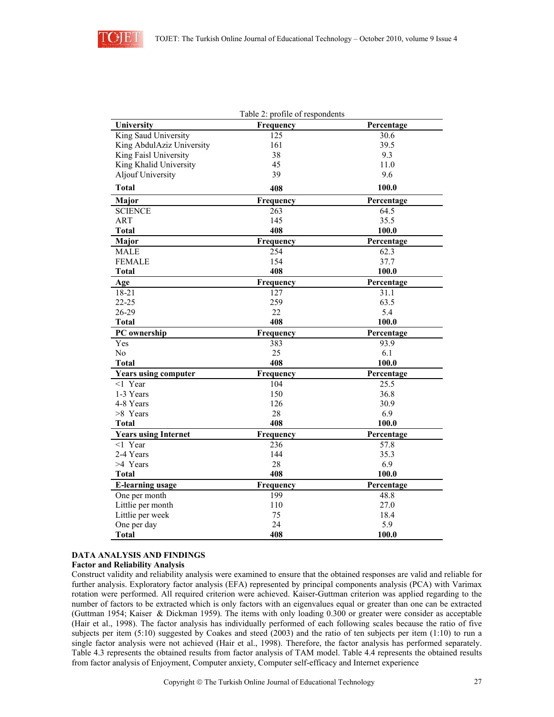

|                             | Table 2: profile of respondents |            |
|-----------------------------|---------------------------------|------------|
| University                  | Frequency                       | Percentage |
| King Saud University        | 125                             | 30.6       |
| King AbdulAziz University   | 161                             | 39.5       |
| King Faisl University       | 38                              | 9.3        |
| King Khalid University      | 45                              | 11.0       |
| <b>Aljouf University</b>    | 39                              | 9.6        |
| <b>Total</b>                | 408                             | 100.0      |
| Major                       | Frequency                       | Percentage |
| <b>SCIENCE</b>              | 263                             | 64.5       |
| ART                         | 145                             | 35.5       |
| <b>Total</b>                | 408                             | 100.0      |
| Major                       | Frequency                       | Percentage |
| <b>MALE</b>                 | 254                             | 62.3       |
| <b>FEMALE</b>               | 154                             | 37.7       |
| Total                       | 408                             | 100.0      |
| Age                         | Frequency                       | Percentage |
| 18-21                       | 127                             | 31.1       |
| $22 - 25$                   | 259                             | 63.5       |
| 26-29                       | 22                              | 5.4        |
| <b>Total</b>                | 408                             | 100.0      |
| PC ownership                | Frequency                       | Percentage |
| Yes                         | 383                             | 93.9       |
| No                          | 25                              | 6.1        |
| <b>Total</b>                | 408                             | 100.0      |
| <b>Years using computer</b> | Frequency                       | Percentage |
| $<1$ Year                   | 104                             | 25.5       |
| 1-3 Years                   | 150                             | 36.8       |
| 4-8 Years                   | 126                             | 30.9       |
| >8 Years                    | 28                              | 6.9        |
| <b>Total</b>                | 408                             | 100.0      |
| <b>Years using Internet</b> | Frequency                       | Percentage |
| $<1$ Year                   | 236                             | 57.8       |
| 2-4 Years                   | 144                             | 35.3       |
| >4 Years                    | 28                              | 6.9        |
| <b>Total</b>                | 408                             | 100.0      |
| <b>E-learning usage</b>     | Frequency                       | Percentage |
| One per month               | 199                             | 48.8       |
| Littlie per month           | 110                             | 27.0       |
| Littlie per week            | 75                              | 18.4       |
| One per day                 | 24                              | 5.9        |
| <b>Total</b>                | 408                             | 100.0      |

### **DATA ANALYSIS AND FINDINGS**

### **Factor and Reliability Analysis**

Construct validity and reliability analysis were examined to ensure that the obtained responses are valid and reliable for further analysis. Exploratory factor analysis (EFA) represented by principal components analysis (PCA) with Varimax rotation were performed. All required criterion were achieved. Kaiser-Guttman criterion was applied regarding to the number of factors to be extracted which is only factors with an eigenvalues equal or greater than one can be extracted (Guttman 1954; Kaiser & Dickman 1959). The items with only loading 0.300 or greater were consider as acceptable (Hair et al., 1998). The factor analysis has individually performed of each following scales because the ratio of five subjects per item (5:10) suggested by Coakes and steed (2003) and the ratio of ten subjects per item (1:10) to run a single factor analysis were not achieved (Hair et al., 1998). Therefore, the factor analysis has performed separately. Table 4.3 represents the obtained results from factor analysis of TAM model. Table 4.4 represents the obtained results from factor analysis of Enjoyment, Computer anxiety, Computer self-efficacy and Internet experience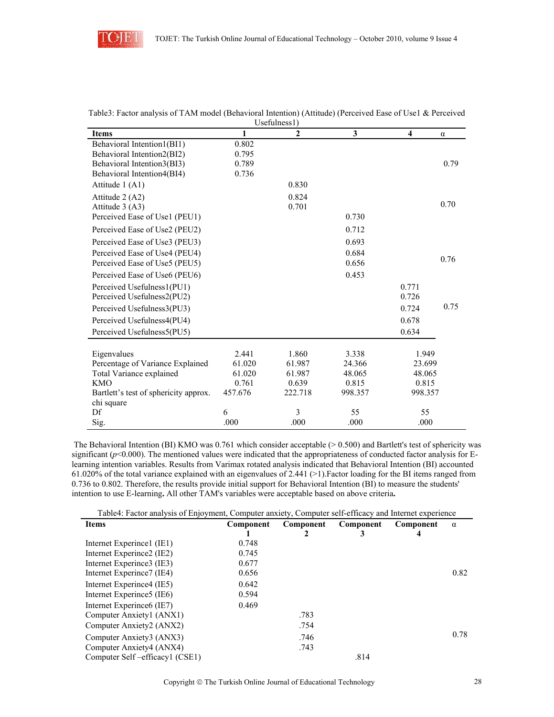

|                                        | 1       | $\cup$ s $\cup$ ium $\cup$ s $\cup$<br>$\mathbf{2}$ | $\mathbf{3}$ | 4               |          |
|----------------------------------------|---------|-----------------------------------------------------|--------------|-----------------|----------|
| <b>Items</b>                           |         |                                                     |              |                 | $\alpha$ |
| Behavioral Intention1(BI1)             | 0.802   |                                                     |              |                 |          |
| Behavioral Intention2(BI2)             | 0.795   |                                                     |              |                 |          |
| Behavioral Intention3(BI3)             | 0.789   |                                                     |              |                 | 0.79     |
| Behavioral Intention4(BI4)             | 0.736   |                                                     |              |                 |          |
| Attitude 1 (A1)                        |         | 0.830                                               |              |                 |          |
| Attitude 2 (A2)                        |         | 0.824                                               |              |                 |          |
| Attitude 3 (A3)                        |         | 0.701                                               |              |                 | 0.70     |
| Perceived Ease of Use1 (PEU1)          |         |                                                     | 0.730        |                 |          |
| Perceived Ease of Use2 (PEU2)          |         |                                                     | 0.712        |                 |          |
| Perceived Ease of Use3 (PEU3)          |         |                                                     | 0.693        |                 |          |
| Perceived Ease of Use4 (PEU4)          |         |                                                     | 0.684        |                 |          |
| Perceived Ease of Use5 (PEU5)          |         |                                                     | 0.656        |                 | 0.76     |
| Perceived Ease of Use6 (PEU6)          |         |                                                     | 0.453        |                 |          |
| Perceived Usefulness1(PU1)             |         |                                                     |              | 0.771           |          |
| Perceived Usefulness2(PU2)             |         |                                                     |              | 0.726           |          |
| Perceived Usefulness3(PU3)             |         |                                                     |              | 0.724           | 0.75     |
| Perceived Usefulness4(PU4)             |         |                                                     |              | 0.678           |          |
| Perceived Usefulness5(PU5)             |         |                                                     |              | 0.634           |          |
|                                        | 2.441   | 1.860                                               | 3.338        |                 |          |
| Eigenvalues                            | 61.020  | 61.987                                              | 24.366       | 1.949<br>23.699 |          |
| Percentage of Variance Explained       | 61.020  | 61.987                                              | 48.065       | 48.065          |          |
| Total Variance explained<br><b>KMO</b> | 0.761   | 0.639                                               |              |                 |          |
|                                        |         |                                                     | 0.815        | 0.815           |          |
| Bartlett's test of sphericity approx.  | 457.676 | 222.718                                             | 998.357      | 998.357         |          |
| chi square<br>Df                       | 6       | 3                                                   | 55           | 55              |          |
| Sig.                                   | .000    | .000                                                | .000         | .000            |          |
|                                        |         |                                                     |              |                 |          |

| Table3: Factor analysis of TAM model (Behavioral Intention) (Attitude) (Perceived Ease of Use1 & Perceived |  |
|------------------------------------------------------------------------------------------------------------|--|
| Use fulness1)                                                                                              |  |

The Behavioral Intention (BI) KMO was  $0.761$  which consider acceptable ( $> 0.500$ ) and Bartlett's test of sphericity was significant  $(p<0.000)$ . The mentioned values were indicated that the appropriateness of conducted factor analysis for Elearning intention variables. Results from Varimax rotated analysis indicated that Behavioral Intention (BI) accounted 61.020% of the total variance explained with an eigenvalues of 2.441 (>1).Factor loading for the BI items ranged from 0.736 to 0.802. Therefore, the results provide initial support for Behavioral Intention (BI) to measure the students' intention to use E-learning**.** All other TAM's variables were acceptable based on above criteria**.** 

| Table4: Factor analysis of Enjoyment, Computer anxiety, Computer self-efficacy and Internet experience |           |           |           |           |          |  |
|--------------------------------------------------------------------------------------------------------|-----------|-----------|-----------|-----------|----------|--|
| <b>Items</b>                                                                                           | Component | Component | Component | Component | $\alpha$ |  |
|                                                                                                        |           |           |           |           |          |  |
| Internet Experince1 (IE1)                                                                              | 0.748     |           |           |           |          |  |
| Internet Experince2 (IE2)                                                                              | 0.745     |           |           |           |          |  |
| Internet Experince3 (IE3)                                                                              | 0.677     |           |           |           |          |  |
| Internet Experince7 (IE4)                                                                              | 0.656     |           |           |           | 0.82     |  |
| Internet Experince4 (IE5)                                                                              | 0.642     |           |           |           |          |  |
| Internet Experince5 (IE6)                                                                              | 0.594     |           |           |           |          |  |
| Internet Experince6 (IE7)                                                                              | 0.469     |           |           |           |          |  |
| Computer Anxiety1 (ANX1)                                                                               |           | .783      |           |           |          |  |
| Computer Anxiety2 (ANX2)                                                                               |           | .754      |           |           |          |  |
| Computer Anxiety3 (ANX3)                                                                               |           | .746      |           |           | 0.78     |  |
| Computer Anxiety4 (ANX4)                                                                               |           | .743      |           |           |          |  |
| Computer Self-efficacy1 (CSE1)                                                                         |           |           | .814      |           |          |  |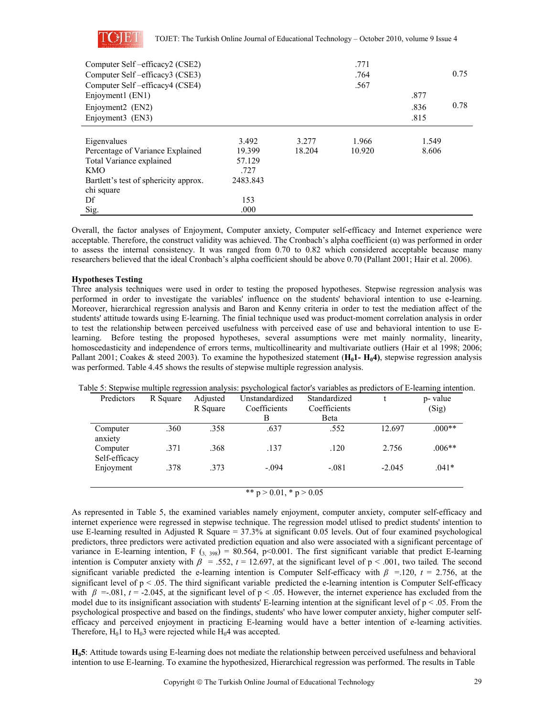

| Computer Self-efficacy2 (CSE2)        |          |        | .771   |       |      |
|---------------------------------------|----------|--------|--------|-------|------|
| Computer Self-efficacy3 (CSE3)        |          |        | .764   |       | 0.75 |
| Computer Self-efficacy4 (CSE4)        |          |        | .567   |       |      |
| Enjoyment1 (EN1)                      |          |        |        | .877  |      |
| Enjoyment2 (EN2)                      |          |        |        | .836  | 0.78 |
| Enjoyment3 (EN3)                      |          |        |        | .815  |      |
|                                       |          |        |        |       |      |
| Eigenvalues                           | 3.492    | 3.277  | 1.966  | 1.549 |      |
| Percentage of Variance Explained      | 19.399   | 18.204 | 10.920 | 8.606 |      |
| Total Variance explained              | 57.129   |        |        |       |      |
| <b>KMO</b>                            | .727     |        |        |       |      |
| Bartlett's test of sphericity approx. | 2483.843 |        |        |       |      |
| chi square                            |          |        |        |       |      |
| Df                                    | 153      |        |        |       |      |
| Sig.                                  | .000     |        |        |       |      |

Overall, the factor analyses of Enjoyment, Computer anxiety, Computer self-efficacy and Internet experience were acceptable. Therefore, the construct validity was achieved. The Cronbach's alpha coefficient  $(\alpha)$  was performed in order to assess the internal consistency. It was ranged from 0.70 to 0.82 which considered acceptable because many researchers believed that the ideal Cronbach's alpha coefficient should be above 0.70 (Pallant 2001; Hair et al. 2006).

## **Hypotheses Testing**

Three analysis techniques were used in order to testing the proposed hypotheses. Stepwise regression analysis was performed in order to investigate the variables' influence on the students' behavioral intention to use e-learning. Moreover, hierarchical regression analysis and Baron and Kenny criteria in order to test the mediation affect of the students' attitude towards using E-learning. The finial technique used was product-moment correlation analysis in order to test the relationship between perceived usefulness with perceived ease of use and behavioral intention to use Elearning. Before testing the proposed hypotheses, several assumptions were met mainly normality, linearity, homoscedasticity and independence of errors terms, multicollinearity and multivariate outliers (Hair et al 1998; 2006; Pallant 2001; Coakes & steed 2003). To examine the hypothesized statement (H<sub>0</sub>1- H<sub>0</sub>4), stepwise regression analysis was performed. Table 4.45 shows the results of stepwise multiple regression analysis.

| Predictors                | R Square | Adjusted<br>R Square | Unstandardized<br>Coefficients<br>В | Standardized<br>Coefficients<br>Beta |          | p- value<br>(Sig) |
|---------------------------|----------|----------------------|-------------------------------------|--------------------------------------|----------|-------------------|
| Computer<br>anxiety       | .360     | .358                 | .637                                | .552                                 | 12.697   | $.000**$          |
| Computer<br>Self-efficacy | .371     | .368                 | .137                                | .120                                 | 2.756    | $.006**$          |
| Enjoyment                 | .378     | .373                 | $-.094$                             | $-.081$                              | $-2.045$ | $.041*$           |

Table 5: Stepwise multiple regression analysis: psychological factor's variables as predictors of E-learning intention.

\*\*  $p > 0.01$ , \*  $p > 0.05$ 

As represented in Table 5, the examined variables namely enjoyment, computer anxiety, computer self-efficacy and internet experience were regressed in stepwise technique. The regression model utlised to predict students' intention to use E-learning resulted in Adjusted R Square = 37.3% at significant 0.05 levels. Out of four examined psychological predictors, three predictors were activated prediction equation and also were associated with a significant percentage of variance in E-learning intention, F  $(s, 398) = 80.564$ , p<0.001. The first significant variable that predict E-learning intention is Computer anxiety with  $\beta$  = .552,  $t$  = 12.697, at the significant level of  $p$  < .001, two tailed. The second significant variable predicted the e-learning intention is Computer Self-efficacy with  $\beta$  =.120,  $t = 2.756$ , at the significant level of  $p < 0.05$ . The third significant variable predicted the e-learning intention is Computer Self-efficacy with  $\beta = .081$ ,  $t = -2.045$ , at the significant level of p < .05. However, the internet experience has excluded from the model due to its insignificant association with students' E-learning intention at the significant level of  $p < .05$ . From the psychological prospective and based on the findings, students' who have lower computer anxiety, higher computer selfefficacy and perceived enjoyment in practicing E-learning would have a better intention of e-learning activities. Therefore,  $H_01$  to  $H_03$  were rejected while  $H_04$  was accepted.

**H05**: Attitude towards using E-learning does not mediate the relationship between perceived usefulness and behavioral intention to use E-learning. To examine the hypothesized, Hierarchical regression was performed. The results in Table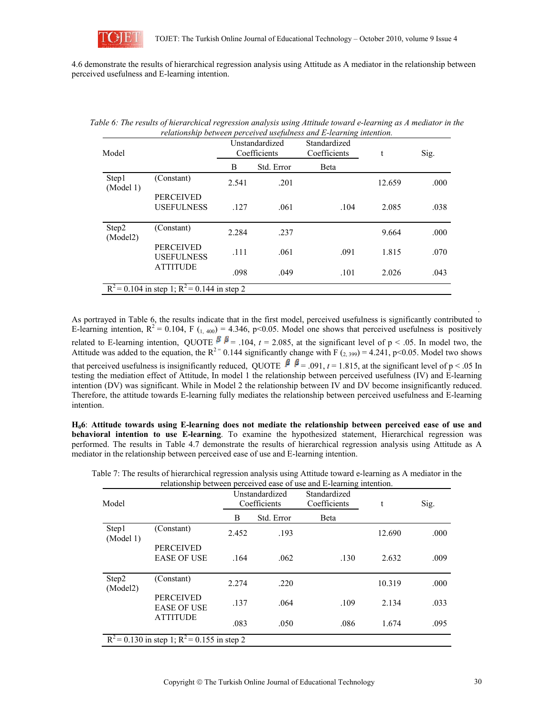

4.6 demonstrate the results of hierarchical regression analysis using Attitude as A mediator in the relationship between perceived usefulness and E-learning intention.

| Model              |                                                             | Unstandardized<br>Coefficients |            | Standardized<br>Coefficients | t      | Sig. |
|--------------------|-------------------------------------------------------------|--------------------------------|------------|------------------------------|--------|------|
|                    |                                                             | B                              | Std. Error | Beta                         |        |      |
| Step1<br>(Model 1) | (Constant)                                                  | 2.541                          | .201       |                              | 12.659 | .000 |
|                    | <b>PERCEIVED</b><br><b>USEFULNESS</b>                       | .127                           | .061       | .104                         | 2.085  | .038 |
| Step2<br>(Model2)  | (Constant)                                                  | 2.284                          | .237       |                              | 9.664  | .000 |
|                    | <b>PERCEIVED</b><br><b>USEFULNESS</b>                       | .111                           | .061       | .091                         | 1.815  | .070 |
|                    | <b>ATTITUDE</b>                                             | .098                           | .049       | .101                         | 2.026  | .043 |
|                    | $R^2 = 0.10\overline{4}$ in step 1; $R^2 = 0.144$ in step 2 |                                |            |                              |        |      |

| Table 6: The results of hierarchical regression analysis using Attitude toward e-learning as A mediator in the |  |
|----------------------------------------------------------------------------------------------------------------|--|
| relationship between perceived usefulness and E-learning intention.                                            |  |

As portrayed in Table 6, the results indicate that in the first model, perceived usefulness is significantly contributed to E-learning intention,  $R^2 = 0.104$ , F ( $_{1.400}$ ) = 4.346, p<0.05. Model one shows that perceived usefulness is positively related to E-learning intention, QUOTE  $\beta \beta$  = .104, *t* = 2.085, at the significant level of p < .05. In model two, the Attitude was added to the equation, the  $R^{2}$  = 0.144 significantly change with F (2, 399) = 4.241, p<0.05. Model two shows that perceived usefulness is insignificantly reduced, QUOTE  $\beta \beta = .091$ ,  $t = 1.815$ , at the significant level of p < .05 In testing the mediation effect of Attitude, In model 1 the relationship between perceived usefulness (IV) and E-learning intention (DV) was significant. While in Model 2 the relationship between IV and DV become insignificantly reduced. Therefore, the attitude towards E-learning fully mediates the relationship between perceived usefulness and E-learning intention.

**H06**: **Attitude towards using E-learning does not mediate the relationship between perceived ease of use and behavioral intention to use E-learning**. To examine the hypothesized statement, Hierarchical regression was performed. The results in Table 4.7 demonstrate the results of hierarchical regression analysis using Attitude as A mediator in the relationship between perceived ease of use and E-learning intention.

| Model              |                                                  |       | Unstandardized<br>Coefficients | Standardized<br>Coefficients | t      | Sig. |
|--------------------|--------------------------------------------------|-------|--------------------------------|------------------------------|--------|------|
|                    |                                                  | B     | Std. Error                     | Beta                         |        |      |
| Step1<br>(Model 1) | (Constant)                                       | 2.452 | .193                           |                              | 12.690 | .000 |
|                    | <b>PERCEIVED</b><br><b>EASE OF USE</b>           | .164  | .062                           | .130                         | 2.632  | .009 |
| Step2<br>(Model2)  | (Constant)                                       | 2.274 | .220                           |                              | 10.319 | .000 |
|                    | <b>PERCEIVED</b><br><b>EASE OF USE</b>           | .137  | .064                           | .109                         | 2.134  | .033 |
|                    | <b>ATTITUDE</b>                                  | .083  | .050                           | .086                         | 1.674  | .095 |
|                    | $R^2$ = 0.130 in step 1; $R^2$ = 0.155 in step 2 |       |                                |                              |        |      |

Table 7: The results of hierarchical regression analysis using Attitude toward e-learning as A mediator in the relationship between perceived ease of use and E-learning intention.

.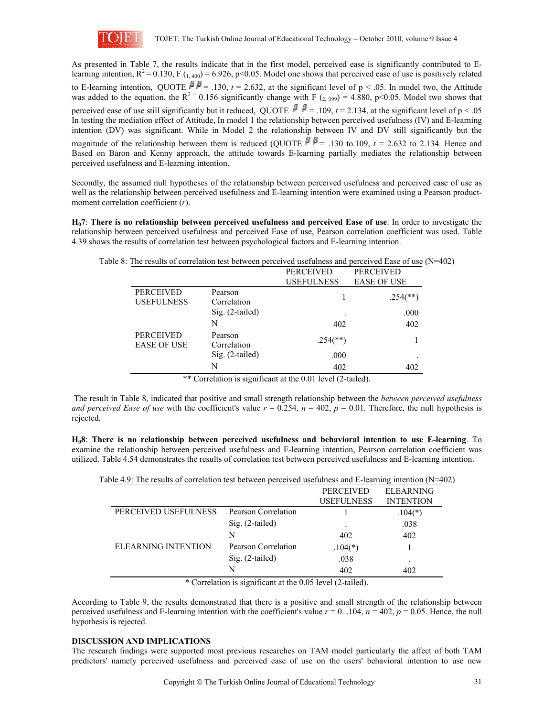

As presented in Table 7, the results indicate that in the first model, perceived ease is significantly contributed to Elearning intention,  $R^2 = 0.130$ , F ( $_{1,400}$ ) = 6.926, p<0.05. Model one shows that perceived ease of use is positively related to E-learning intention, QUOTE  $\beta$   $\beta$  = .130, *t* = 2.632, at the significant level of p < .05. In model two, the Attitude was added to the equation, the  $R^{2}$  = 0.156 significantly change with F (2, 399) = 4.880, p<0.05. Model two shows that perceived ease of use still significantly but it reduced, QUOTE  $\beta$ ,  $\beta$  = .109, *t* = 2.134, at the significant level of p < .05 In testing the mediation effect of Attitude, In model 1 the relationship between perceived usefulness (IV) and E-learning intention (DV) was significant. While in Model 2 the relationship between IV and DV still significantly but the magnitude of the relationship between them is reduced (QUOTE  $\beta \beta$  = .130 to.109, *t* = 2.632 to 2.134. Hence and Based on Baron and Kenny approach, the attitude towards E-learning partially mediates the relationship between perceived usefulness and E-learning intention.

Secondly, the assumed null hypotheses of the relationship between perceived usefulness and perceived ease of use as well as the relationship between perceived usefulness and E-learning intention were examined using a Pearson productmoment correlation coefficient (*r*).

**H07**: **There is no relationship between perceived usefulness and perceived Ease of use**. In order to investigate the relationship between perceived usefulness and perceived Ease of use, Pearson correlation coefficient was used. Table 4.39 shows the results of correlation test between psychological factors and E-learning intention.

| Table 8: The results of correlation test between perceived usefulness and perceived Ease of use $(N=402)$ |  |
|-----------------------------------------------------------------------------------------------------------|--|
|                                                                                                           |  |

|                        | <b>PERCEIVED</b>         | <b>PERCEIVED</b>         |
|------------------------|--------------------------|--------------------------|
|                        | <b>USEFULNESS</b>        | <b>EASE OF USE</b>       |
| Pearson<br>Correlation |                          | $.254$ <sup>(**)</sup> ) |
| Sig. (2-tailed)        |                          | .000                     |
| N                      | 402                      | 402                      |
| Pearson<br>Correlation | $.254$ <sup>(**)</sup> ) |                          |
| Sig. (2-tailed)        | .000                     |                          |
| N                      | 402                      | 402                      |
|                        |                          |                          |

\*\* Correlation is significant at the 0.01 level (2-tailed).

 The result in Table 8, indicated that positive and small strength relationship between the *between perceived usefulness and perceived Ease of use* with the coefficient's value  $r = 0.254$ ,  $n = 402$ ,  $p = 0.01$ . Therefore, the null hypothesis is rejected.

**H08**: **There is no relationship between perceived usefulness and behavioral intention to use E-learning**. To examine the relationship between perceived usefulness and E-learning intention, Pearson correlation coefficient was utilized. Table 4.54 demonstrates the results of correlation test between perceived usefulness and E-learning intention.

| Table 4.9: The results of correlation test between perceived usefulness and E-learning intention $(N=402)$ |                     |                   |                  |
|------------------------------------------------------------------------------------------------------------|---------------------|-------------------|------------------|
|                                                                                                            |                     | <b>PERCEIVED</b>  | <b>ELEARNING</b> |
|                                                                                                            |                     | <b>USEFULNESS</b> | <b>INTENTION</b> |
| PERCEIVED USEFULNESS                                                                                       | Pearson Correlation |                   | $.104(*)$        |
|                                                                                                            | $Sig. (2-tailed)$   |                   | .038             |
|                                                                                                            | N                   | 402               | 402              |
| <b>ELEARNING INTENTION</b>                                                                                 | Pearson Correlation | $.104(*)$         |                  |
|                                                                                                            | Sig. (2-tailed)     | .038              |                  |
|                                                                                                            | N                   | 402               | 402              |

\* Correlation is significant at the 0.05 level (2-tailed).

According to Table 9, the results demonstrated that there is a positive and small strength of the relationship between perceived usefulness and E-learning intention with the coefficient's value  $r = 0$ . 104,  $n = 402$ ,  $p = 0.05$ . Hence, the null hypothesis is rejected.

### **DISCUSSION AND IMPLICATIONS**

The research findings were supported most previous researches on TAM model particularly the affect of both TAM predictors' namely perceived usefulness and perceived ease of use on the users' behavioral intention to use new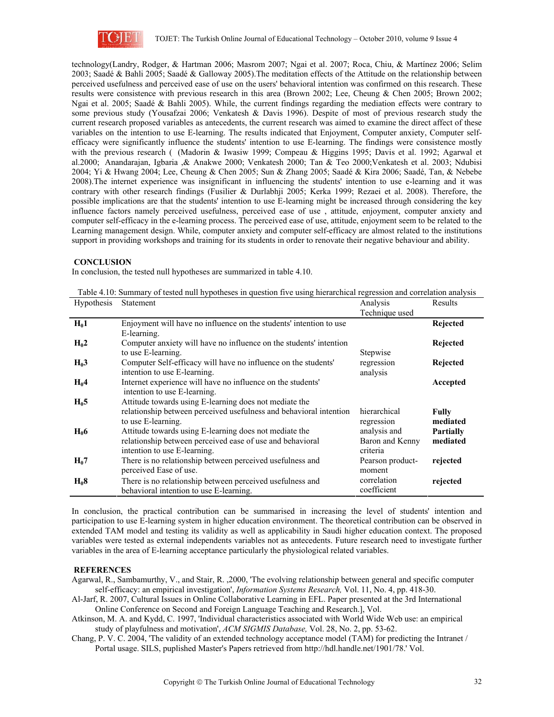

technology(Landry, Rodger, & Hartman 2006; Masrom 2007; Ngai et al. 2007; Roca, Chiu, & Martínez 2006; Selim 2003; Saadé & Bahli 2005; Saadé & Galloway 2005).The meditation effects of the Attitude on the relationship between perceived usefulness and perceived ease of use on the users' behavioral intention was confirmed on this research. These results were consistence with previous research in this area (Brown 2002; Lee, Cheung & Chen 2005; Brown 2002; Ngai et al. 2005; Saadé & Bahli 2005). While, the current findings regarding the mediation effects were contrary to some previous study (Yousafzai 2006; Venkatesh & Davis 1996). Despite of most of previous research study the current research proposed variables as antecedents, the current research was aimed to examine the direct affect of these variables on the intention to use E-learning. The results indicated that Enjoyment, Computer anxiety, Computer selfefficacy were significantly influence the students' intention to use E-learning. The findings were consistence mostly with the previous research ( (Madorin & Iwasiw 1999; Compeau & Higgins 1995; Davis et al. 1992; Agarwal et al.2000; Anandarajan, Igbaria ,& Anakwe 2000; Venkatesh 2000; Tan & Teo 2000;Venkatesh et al. 2003; Ndubisi 2004; Yi & Hwang 2004; Lee, Cheung & Chen 2005; Sun & Zhang 2005; Saadé & Kira 2006; Saadé, Tan, & Nebebe 2008).The internet experience was insignificant in influencing the students' intention to use e-learning and it was contrary with other research findings (Fusilier & Durlabhji 2005; Kerka 1999; Rezaei et al. 2008). Therefore, the possible implications are that the students' intention to use E-learning might be increased through considering the key influence factors namely perceived usefulness, perceived ease of use , attitude, enjoyment, computer anxiety and computer self-efficacy in the e-learning process. The perceived ease of use, attitude, enjoyment seem to be related to the Learning management design. While, computer anxiety and computer self-efficacy are almost related to the institutions support in providing workshops and training for its students in order to renovate their negative behaviour and ability.

### **CONCLUSION**

In conclusion, the tested null hypotheses are summarized in table 4.10.

| Hypothesis       | Statement                                                          | Analysis         | Results          |
|------------------|--------------------------------------------------------------------|------------------|------------------|
|                  |                                                                    | Technique used   |                  |
| $H_01$           | Enjoyment will have no influence on the students' intention to use |                  | Rejected         |
|                  | E-learning.                                                        |                  |                  |
| $H_0$ 2          | Computer anxiety will have no influence on the students' intention |                  | Rejected         |
|                  | to use E-learning.                                                 | Stepwise         |                  |
| H <sub>0</sub> 3 | Computer Self-efficacy will have no influence on the students'     | regression       | Rejected         |
|                  | intention to use E-learning.                                       | analysis         |                  |
| $H_0$ 4          | Internet experience will have no influence on the students'        |                  | Accepted         |
|                  | intention to use E-learning.                                       |                  |                  |
| $H_0$ 5          | Attitude towards using E-learning does not mediate the             |                  |                  |
|                  | relationship between perceived usefulness and behavioral intention | hierarchical     | Fully            |
|                  | to use E-learning.                                                 | regression       | mediated         |
| $H_0$ 6          | Attitude towards using E-learning does not mediate the             | analysis and     | <b>Partially</b> |
|                  | relationship between perceived ease of use and behavioral          | Baron and Kenny  | mediated         |
|                  | intention to use E-learning.                                       | criteria         |                  |
| $H_0$ 7          | There is no relationship between perceived usefulness and          | Pearson product- | rejected         |
|                  | perceived Ease of use.                                             | moment           |                  |
| $H_08$           | There is no relationship between perceived usefulness and          | correlation      | rejected         |
|                  | behavioral intention to use E-learning.                            | coefficient      |                  |

Table 4.10: Summary of tested null hypotheses in question five using hierarchical regression and correlation analysis

In conclusion, the practical contribution can be summarised in increasing the level of students' intention and participation to use E-learning system in higher education environment. The theoretical contribution can be observed in extended TAM model and testing its validity as well as applicability in Saudi higher education context. The proposed variables were tested as external independents variables not as antecedents. Future research need to investigate further variables in the area of E-learning acceptance particularly the physiological related variables.

## **REFERENCES**

- Agarwal, R., Sambamurthy, V., and Stair, R. ,2000, 'The evolving relationship between general and specific computer self-efficacy: an empirical investigation', *Information Systems Research,* Vol. 11, No. 4, pp. 418-30.
- Al-Jarf, R. 2007, Cultural Issues in Online Collaborative Learning in EFL. Paper presented at the 3rd International Online Conference on Second and Foreign Language Teaching and Research.], Vol.
- Atkinson, M. A. and Kydd, C. 1997, 'Individual characteristics associated with World Wide Web use: an empirical study of playfulness and motivation', *ACM SIGMIS Database,* Vol. 28, No. 2, pp. 53-62.
- Chang, P. V. C. 2004, 'The validity of an extended technology acceptance model (TAM) for predicting the Intranet / Portal usage. SILS, puplished Master's Papers retrieved from http://hdl.handle.net/1901/78.' Vol.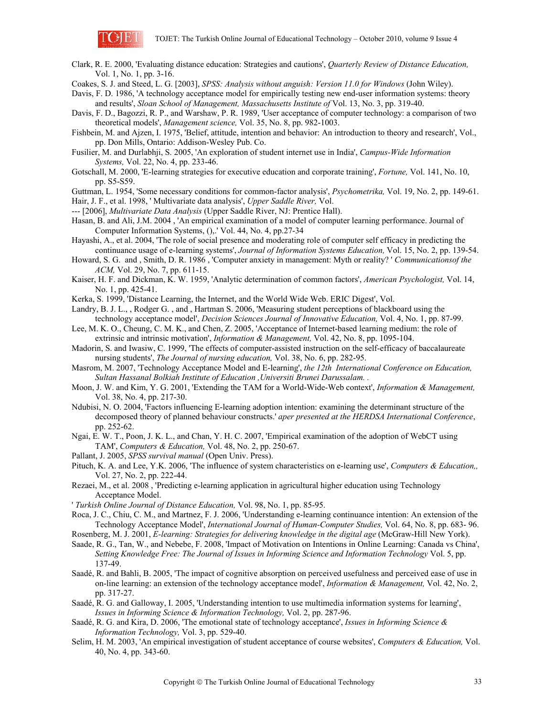

Clark, R. E. 2000, 'Evaluating distance education: Strategies and cautions', *Quarterly Review of Distance Education,* Vol. 1, No. 1, pp. 3-16.

Coakes, S. J. and Steed, L. G. [2003], *SPSS: Analysis without anguish: Version 11.0 for Windows* (John Wiley).

Davis, F. D. 1986, 'A technology acceptance model for empirically testing new end-user information systems: theory and results', *Sloan School of Management, Massachusetts Institute of* Vol. 13, No. 3, pp. 319-40.

Davis, F. D., Bagozzi, R. P., and Warshaw, P. R. 1989, 'User acceptance of computer technology: a comparison of two theoretical models', *Management science,* Vol. 35, No. 8, pp. 982-1003.

Fishbein, M. and Ajzen, I. 1975, 'Belief, attitude, intention and behavior: An introduction to theory and research', Vol., pp. Don Mills, Ontario: Addison-Wesley Pub. Co.

- Fusilier, M. and Durlabhji, S. 2005, 'An exploration of student internet use in India', *Campus-Wide Information Systems,* Vol. 22, No. 4, pp. 233-46.
- Gotschall, M. 2000, 'E-learning strategies for executive education and corporate training', *Fortune,* Vol. 141, No. 10, pp. S5-S59.

Guttman, L. 1954, 'Some necessary conditions for common-factor analysis', *Psychometrika,* Vol. 19, No. 2, pp. 149-61.

- Hair, J. F., et al. 1998, ' Multivariate data analysis', *Upper Saddle River,* Vol.
- --- [2006], *Multivariate Data Analysis* (Upper Saddle River, NJ: Prentice Hall).
- Hasan, B. and Ali, J.M. 2004 , 'An empirical examination of a model of computer learning performance. Journal of Computer Information Systems, (),.' Vol. 44, No. 4, pp.27-34
- Hayashi, A., et al. 2004, 'The role of social presence and moderating role of computer self efficacy in predicting the continuance usage of e-learning systems', *Journal of Information Systems Education,* Vol. 15, No. 2, pp. 139-54.
- Howard, S. G. and , Smith, D. R. 1986 , 'Computer anxiety in management: Myth or reality? ' *Communicationsof the ACM,* Vol. 29, No. 7, pp. 611-15.
- Kaiser, H. F. and Dickman, K. W. 1959, 'Analytic determination of common factors', *American Psychologist,* Vol. 14, No. 1, pp. 425-41.
- Kerka, S. 1999, 'Distance Learning, the Internet, and the World Wide Web. ERIC Digest', Vol.
- Landry, B. J. L., , Rodger G. , and , Hartman S. 2006, 'Measuring student perceptions of blackboard using the technology acceptance model', *Decision Sciences Journal of Innovative Education,* Vol. 4, No. 1, pp. 87-99.
- Lee, M. K. O., Cheung, C. M. K., and Chen, Z. 2005, 'Acceptance of Internet-based learning medium: the role of extrinsic and intrinsic motivation', *Information & Management,* Vol. 42, No. 8, pp. 1095-104.
- Madorin, S. and Iwasiw, C. 1999, 'The effects of computer-assisted instruction on the self-efficacy of baccalaureate nursing students', *The Journal of nursing education,* Vol. 38, No. 6, pp. 282-95.
- Masrom, M. 2007, 'Technology Acceptance Model and E-learning', *the 12th International Conference on Education, Sultan Hassanal Bolkiah Institute of Education ,Universiti Brunei Darussalam. .*
- Moon, J. W. and Kim, Y. G. 2001, 'Extending the TAM for a World-Wide-Web context', *Information & Management,* Vol. 38, No. 4, pp. 217-30.
- Ndubisi, N. O. 2004, 'Factors influencing E-learning adoption intention: examining the determinant structure of the decomposed theory of planned behaviour constructs.' *aper presented at the HERDSA International Conference*, pp. 252-62.
- Ngai, E. W. T., Poon, J. K. L., and Chan, Y. H. C. 2007, 'Empirical examination of the adoption of WebCT using TAM', *Computers & Education,* Vol. 48, No. 2, pp. 250-67.
- Pallant, J. 2005, *SPSS survival manual* (Open Univ. Press).
- Pituch, K. A. and Lee, Y.K. 2006, 'The influence of system characteristics on e-learning use', *Computers & Education,,* Vol. 27, No. 2, pp. 222-44.
- Rezaei, M., et al. 2008 , 'Predicting e-learning application in agricultural higher education using Technology Acceptance Model.
- ' *Turkish Online Journal of Distance Education,* Vol. 98, No. 1, pp. 85-95.
- Roca, J. C., Chiu, C. M., and Martnez, F. J. 2006, 'Understanding e-learning continuance intention: An extension of the Technology Acceptance Model', *International Journal of Human-Computer Studies,* Vol. 64, No. 8, pp. 683- 96.
- Rosenberg, M. J. 2001, *E-learning: Strategies for delivering knowledge in the digital age* (McGraw-Hill New York). Saade, R. G., Tan, W., and Nebebe, F. 2008, 'Impact of Motivation on Intentions in Online Learning: Canada vs China',
- *Setting Knowledge Free: The Journal of Issues in Informing Science and Information Technology* Vol. 5, pp. 137-49.
- Saadé, R. and Bahli, B. 2005, 'The impact of cognitive absorption on perceived usefulness and perceived ease of use in on-line learning: an extension of the technology acceptance model', *Information & Management,* Vol. 42, No. 2, pp. 317-27.
- Saadé, R. G. and Galloway, I. 2005, 'Understanding intention to use multimedia information systems for learning', *Issues in Informing Science & Information Technology,* Vol. 2, pp. 287-96.
- Saadé, R. G. and Kira, D. 2006, 'The emotional state of technology acceptance', *Issues in Informing Science & Information Technology,* Vol. 3, pp. 529-40.
- Selim, H. M. 2003, 'An empirical investigation of student acceptance of course websites', *Computers & Education,* Vol. 40, No. 4, pp. 343-60.